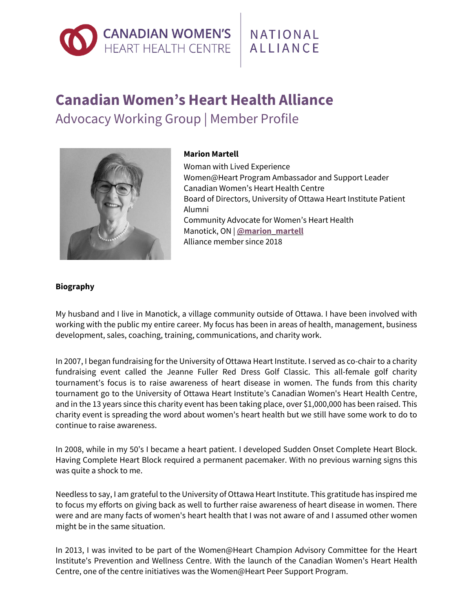# **CANADIAN WOMEN'S**<br>HEART HEALTH CENTRE

## NATIONAL ALLIANCE

## **Canadian Women's Heart Health Alliance** Advocacy Working Group | Member Profile



### **Marion Martell**

Woman with Lived Experience Women@Heart Program Ambassador and Support Leader Canadian Women's Heart Health Centre Board of Directors, University of Ottawa Heart Institute Patient Alumni Community Advocate for Women's Heart Health Manotick, ON | **[@marion\\_martell](https://twitter.com/marion_martell)** Alliance member since 2018

#### **Biography**

My husband and I live in Manotick, a village community outside of Ottawa. I have been involved with working with the public my entire career. My focus has been in areas of health, management, business development, sales, coaching, training, communications, and charity work.

In 2007, I began fundraising for the University of Ottawa Heart Institute. I served as co-chair to a charity fundraising event called the Jeanne Fuller Red Dress Golf Classic. This all-female golf charity tournament's focus is to raise awareness of heart disease in women. The funds from this charity tournament go to the University of Ottawa Heart Institute's Canadian Women's Heart Health Centre, and in the 13 years since this charity event has been taking place, over \$1,000,000 has been raised. This charity event is spreading the word about women's heart health but we still have some work to do to continue to raise awareness.

In 2008, while in my 50's I became a heart patient. I developed Sudden Onset Complete Heart Block. Having Complete Heart Block required a permanent pacemaker. With no previous warning signs this was quite a shock to me.

Needless to say, I am grateful to the University of Ottawa Heart Institute. This gratitude has inspired me to focus my efforts on giving back as well to further raise awareness of heart disease in women. There were and are many facts of women's heart health that I was not aware of and I assumed other women might be in the same situation.

In 2013, I was invited to be part of the Women@Heart Champion Advisory Committee for the Heart Institute's Prevention and Wellness Centre. With the launch of the Canadian Women's Heart Health Centre, one of the centre initiatives was the Women@Heart Peer Support Program.